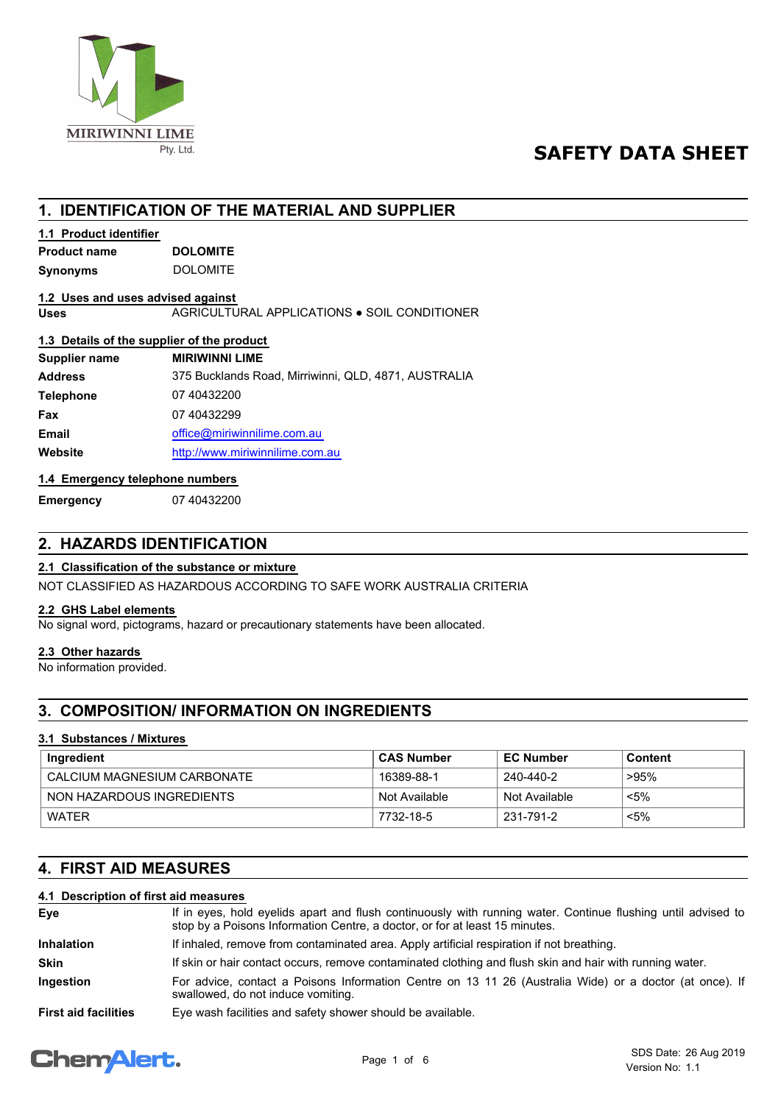

# **SAFETY DATA SHEET**

# **1. IDENTIFICATION OF THE MATERIAL AND SUPPLIER**

## **1.1 Product identifier**

| <b>Product name</b> | <b>DOLOMITE</b> |  |
|---------------------|-----------------|--|
| Synonyms            | <b>DOLOMITE</b> |  |

#### **1.2 Uses and uses advised against**

**Uses** AGRICULTURAL APPLICATIONS ● SOIL CONDITIONER

## **1.3 Details of the supplier of the product**

| Supplier name    | <b>MIRIWINNI LIME</b>                                |
|------------------|------------------------------------------------------|
| <b>Address</b>   | 375 Bucklands Road, Mirriwinni, QLD, 4871, AUSTRALIA |
| <b>Telephone</b> | 07 40432200                                          |
| Fax              | 07 40432299                                          |
| <b>Email</b>     | office@miriwinnilime.com.au                          |
| Website          | http://www.miriwinnilime.com.au                      |

#### **1.4 Emergency telephone numbers**

**Emergency** 07 40432200

# **2. HAZARDS IDENTIFICATION**

### **2.1 Classification of the substance or mixture**

NOT CLASSIFIED AS HAZARDOUS ACCORDING TO SAFE WORK AUSTRALIA CRITERIA

## **2.2 GHS Label elements**

No signal word, pictograms, hazard or precautionary statements have been allocated.

#### **2.3 Other hazards**

No information provided.

# **3. COMPOSITION/ INFORMATION ON INGREDIENTS**

### **3.1 Substances / Mixtures**

| Ingredient                  | <b>CAS Number</b> | <b>EC Number</b> | Content |
|-----------------------------|-------------------|------------------|---------|
| CALCIUM MAGNESIUM CARBONATE | 16389-88-1        | 240-440-2        | ั >95%  |
| NON HAZARDOUS INGREDIENTS   | Not Available     | Not Available    | <5%     |
| <b>WATFR</b>                | 7732-18-5         | 231-791-2        | <5%     |

# **4. FIRST AID MEASURES**

## **4.1 Description of first aid measures**

| Eye                         | If in eyes, hold eyelids apart and flush continuously with running water. Continue flushing until advised to<br>stop by a Poisons Information Centre, a doctor, or for at least 15 minutes. |
|-----------------------------|---------------------------------------------------------------------------------------------------------------------------------------------------------------------------------------------|
| <b>Inhalation</b>           | If inhaled, remove from contaminated area. Apply artificial respiration if not breathing.                                                                                                   |
| <b>Skin</b>                 | If skin or hair contact occurs, remove contaminated clothing and flush skin and hair with running water.                                                                                    |
| Ingestion                   | For advice, contact a Poisons Information Centre on 13 11 26 (Australia Wide) or a doctor (at once). If<br>swallowed, do not induce vomiting.                                               |
| <b>First aid facilities</b> | Eye wash facilities and safety shower should be available.                                                                                                                                  |

# **ChemAlert.**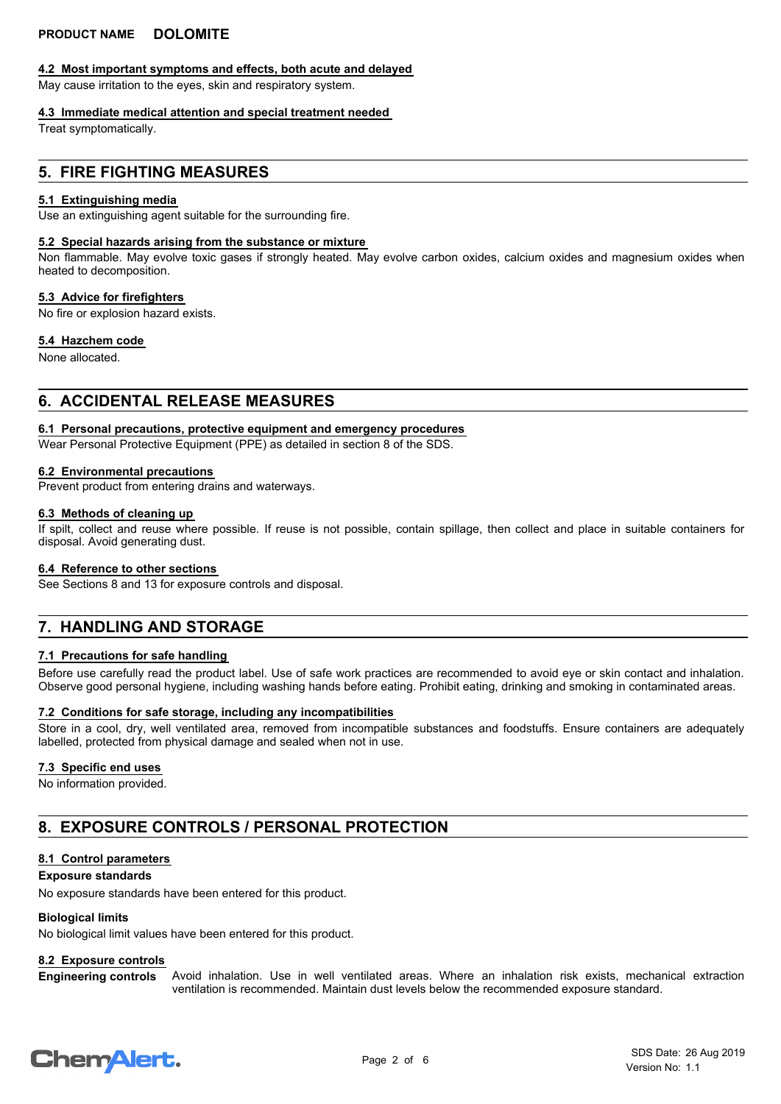#### **4.2 Most important symptoms and effects, both acute and delayed**

May cause irritation to the eyes, skin and respiratory system.

#### **4.3 Immediate medical attention and special treatment needed**

Treat symptomatically.

## **5. FIRE FIGHTING MEASURES**

#### **5.1 Extinguishing media**

Use an extinguishing agent suitable for the surrounding fire.

#### **5.2 Special hazards arising from the substance or mixture**

Non flammable. May evolve toxic gases if strongly heated. May evolve carbon oxides, calcium oxides and magnesium oxides when heated to decomposition.

#### **5.3 Advice for firefighters**

No fire or explosion hazard exists.

#### **5.4 Hazchem code**

None allocated.

## **6. ACCIDENTAL RELEASE MEASURES**

#### **6.1 Personal precautions, protective equipment and emergency procedures**

Wear Personal Protective Equipment (PPE) as detailed in section 8 of the SDS.

#### **6.2 Environmental precautions**

Prevent product from entering drains and waterways.

#### **6.3 Methods of cleaning up**

If spilt, collect and reuse where possible. If reuse is not possible, contain spillage, then collect and place in suitable containers for disposal. Avoid generating dust.

#### **6.4 Reference to other sections**

See Sections 8 and 13 for exposure controls and disposal.

# **7. HANDLING AND STORAGE**

#### **7.1 Precautions for safe handling**

Before use carefully read the product label. Use of safe work practices are recommended to avoid eye or skin contact and inhalation. Observe good personal hygiene, including washing hands before eating. Prohibit eating, drinking and smoking in contaminated areas.

#### **7.2 Conditions for safe storage, including any incompatibilities**

Store in a cool, dry, well ventilated area, removed from incompatible substances and foodstuffs. Ensure containers are adequately labelled, protected from physical damage and sealed when not in use.

#### **7.3 Specific end uses**

No information provided.

# **8. EXPOSURE CONTROLS / PERSONAL PROTECTION**

#### **8.1 Control parameters**

#### **Exposure standards**

No exposure standards have been entered for this product.

#### **Biological limits**

No biological limit values have been entered for this product.

#### **8.2 Exposure controls**

Avoid inhalation. Use in well ventilated areas. Where an inhalation risk exists, mechanical extraction ventilation is recommended. Maintain dust levels below the recommended exposure standard. **Engineering controls**

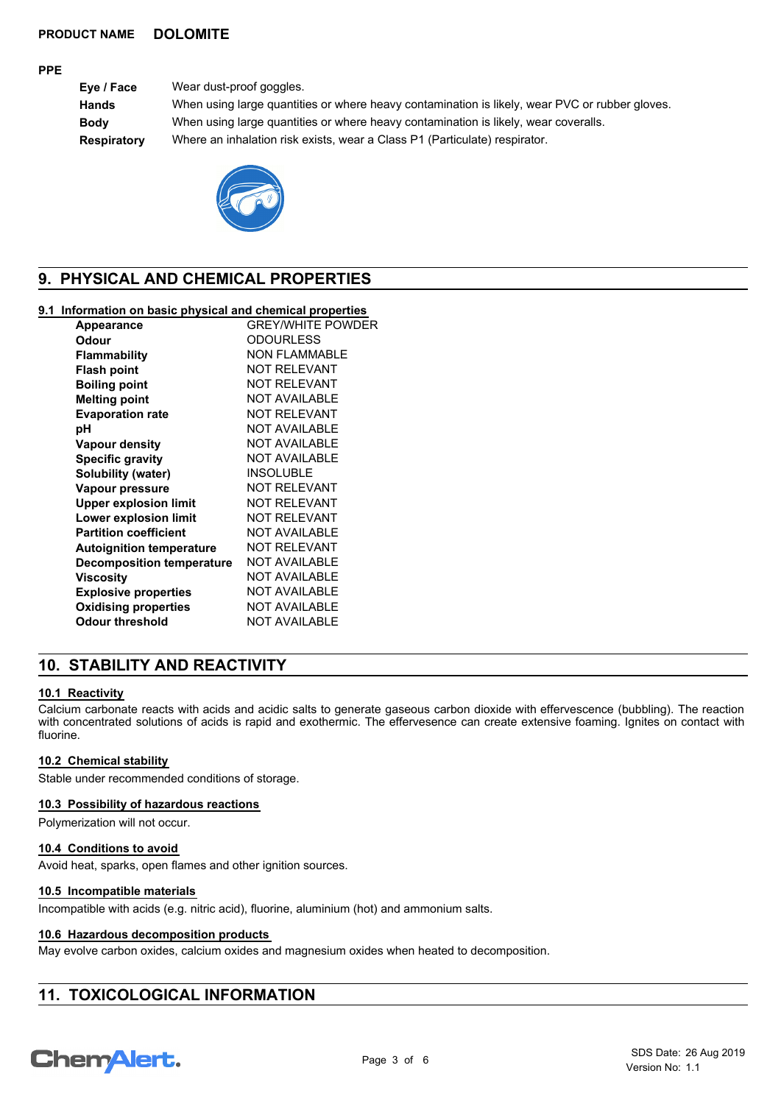#### **PPE**

**Eye / Face** Wear dust-proof goggles. **Hands** When using large quantities or where heavy contamination is likely, wear PVC or rubber gloves. **Body** When using large quantities or where heavy contamination is likely, wear coveralls. **Respiratory** Where an inhalation risk exists, wear a Class P1 (Particulate) respirator.



# **9. PHYSICAL AND CHEMICAL PROPERTIES**

### **9.1 Information on basic physical and chemical properties**

| <b>Appearance</b>                | <b>GREY/WHITE POWDER</b> |
|----------------------------------|--------------------------|
| Odour                            | <b>ODOURLESS</b>         |
| Flammability                     | NON FI AMMABI F          |
| <b>Flash point</b>               | <b>NOT RELEVANT</b>      |
| <b>Boiling point</b>             | <b>NOT RELEVANT</b>      |
| <b>Melting point</b>             | <b>NOT AVAILABLE</b>     |
| <b>Evaporation rate</b>          | <b>NOT RELEVANT</b>      |
| рH                               | <b>NOT AVAILABLE</b>     |
| <b>Vapour density</b>            | <b>NOT AVAILABLE</b>     |
| <b>Specific gravity</b>          | <b>NOT AVAILABLE</b>     |
| Solubility (water)               | <b>INSOLUBLE</b>         |
| Vapour pressure                  | NOT RFI FVANT            |
| <b>Upper explosion limit</b>     | NOT RFI FVANT            |
| <b>Lower explosion limit</b>     | <b>NOT RELEVANT</b>      |
| <b>Partition coefficient</b>     | <b>NOT AVAILABLE</b>     |
| <b>Autoignition temperature</b>  | <b>NOT RELEVANT</b>      |
| <b>Decomposition temperature</b> | <b>NOT AVAILABLE</b>     |
| Viscositv                        | <b>NOT AVAILABLE</b>     |
| <b>Explosive properties</b>      | <b>NOT AVAILABLE</b>     |
| <b>Oxidising properties</b>      | <b>NOT AVAILABLE</b>     |
| Odour threshold                  | <b>NOT AVAILABLE</b>     |
|                                  |                          |

# **10. STABILITY AND REACTIVITY**

#### **10.1 Reactivity**

Calcium carbonate reacts with acids and acidic salts to generate gaseous carbon dioxide with effervescence (bubbling). The reaction with concentrated solutions of acids is rapid and exothermic. The effervesence can create extensive foaming. Ignites on contact with fluorine.

#### **10.2 Chemical stability**

Stable under recommended conditions of storage.

#### **10.3 Possibility of hazardous reactions**

Polymerization will not occur.

#### **10.4 Conditions to avoid**

Avoid heat, sparks, open flames and other ignition sources.

#### **10.5 Incompatible materials**

Incompatible with acids (e.g. nitric acid), fluorine, aluminium (hot) and ammonium salts.

#### **10.6 Hazardous decomposition products**

May evolve carbon oxides, calcium oxides and magnesium oxides when heated to decomposition.

# **11. TOXICOLOGICAL INFORMATION**

# **ChemAlert.**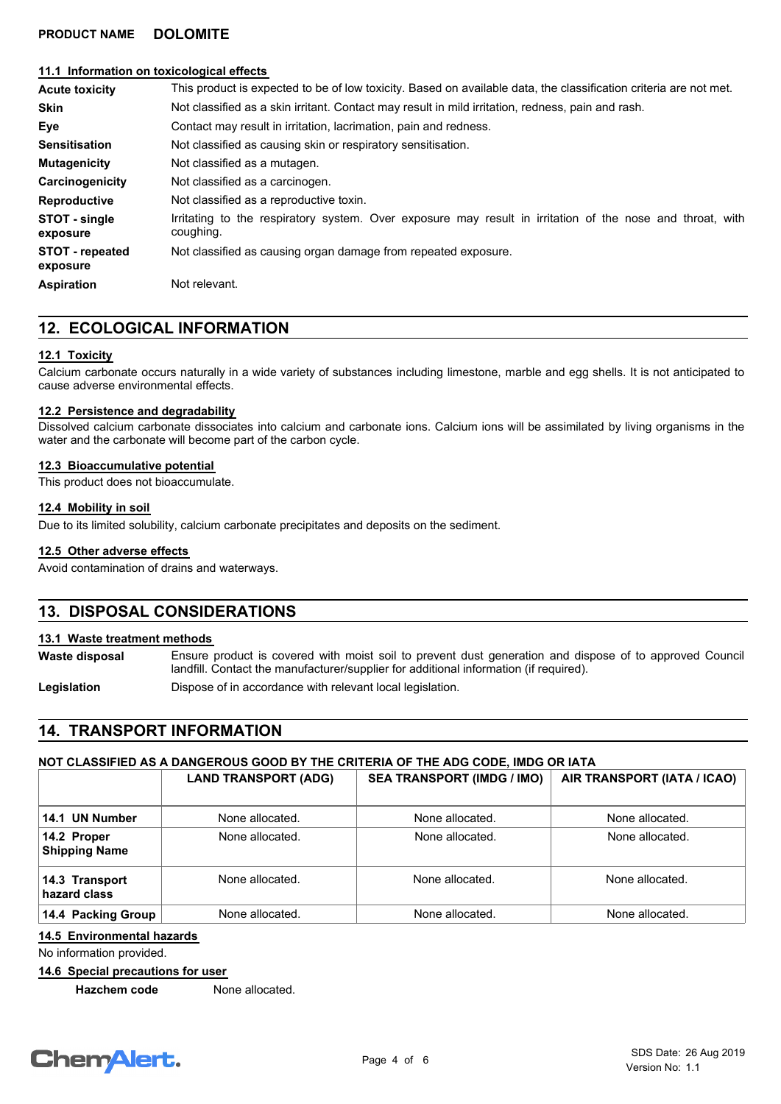#### **11.1 Information on toxicological effects**

| <b>Acute toxicity</b>              | This product is expected to be of low toxicity. Based on available data, the classification criteria are not met.      |  |
|------------------------------------|------------------------------------------------------------------------------------------------------------------------|--|
| <b>Skin</b>                        | Not classified as a skin irritant. Contact may result in mild irritation, redness, pain and rash.                      |  |
| Eye                                | Contact may result in irritation, lacrimation, pain and redness.                                                       |  |
| <b>Sensitisation</b>               | Not classified as causing skin or respiratory sensitisation.                                                           |  |
| <b>Mutagenicity</b>                | Not classified as a mutagen.                                                                                           |  |
| Carcinogenicity                    | Not classified as a carcinogen.                                                                                        |  |
| <b>Reproductive</b>                | Not classified as a reproductive toxin.                                                                                |  |
| STOT - single<br>exposure          | Irritating to the respiratory system. Over exposure may result in irritation of the nose and throat, with<br>coughing. |  |
| <b>STOT</b> - repeated<br>exposure | Not classified as causing organ damage from repeated exposure.                                                         |  |
| <b>Aspiration</b>                  | Not relevant.                                                                                                          |  |

# **12. ECOLOGICAL INFORMATION**

#### **12.1 Toxicity**

Calcium carbonate occurs naturally in a wide variety of substances including limestone, marble and egg shells. It is not anticipated to cause adverse environmental effects.

#### **12.2 Persistence and degradability**

Dissolved calcium carbonate dissociates into calcium and carbonate ions. Calcium ions will be assimilated by living organisms in the water and the carbonate will become part of the carbon cycle.

#### **12.3 Bioaccumulative potential**

This product does not bioaccumulate.

#### **12.4 Mobility in soil**

Due to its limited solubility, calcium carbonate precipitates and deposits on the sediment.

#### **12.5 Other adverse effects**

Avoid contamination of drains and waterways.

## **13. DISPOSAL CONSIDERATIONS**

#### **13.1 Waste treatment methods**

**Waste disposal**

Ensure product is covered with moist soil to prevent dust generation and dispose of to approved Council landfill. Contact the manufacturer/supplier for additional information (if required).

**Legislation Dispose of in accordance with relevant local legislation.** 

# **14. TRANSPORT INFORMATION**

#### **NOT CLASSIFIED AS A DANGEROUS GOOD BY THE CRITERIA OF THE ADG CODE, IMDG OR IATA**

|                                     | <b>LAND TRANSPORT (ADG)</b> | <b>SEA TRANSPORT (IMDG / IMO)</b> | AIR TRANSPORT (IATA / ICAO) |
|-------------------------------------|-----------------------------|-----------------------------------|-----------------------------|
| 14.1 UN Number                      | None allocated.             | None allocated.                   | None allocated.             |
| 14.2 Proper<br><b>Shipping Name</b> | None allocated.             | None allocated.                   | None allocated.             |
| 14.3 Transport<br>hazard class      | None allocated.             | None allocated.                   | None allocated.             |
| 14.4 Packing Group                  | None allocated.             | None allocated.                   | None allocated.             |

## **14.5 Environmental hazards**

No information provided.

#### **14.6 Special precautions for user**

**Hazchem code** None allocated.

# **ChemAlert.**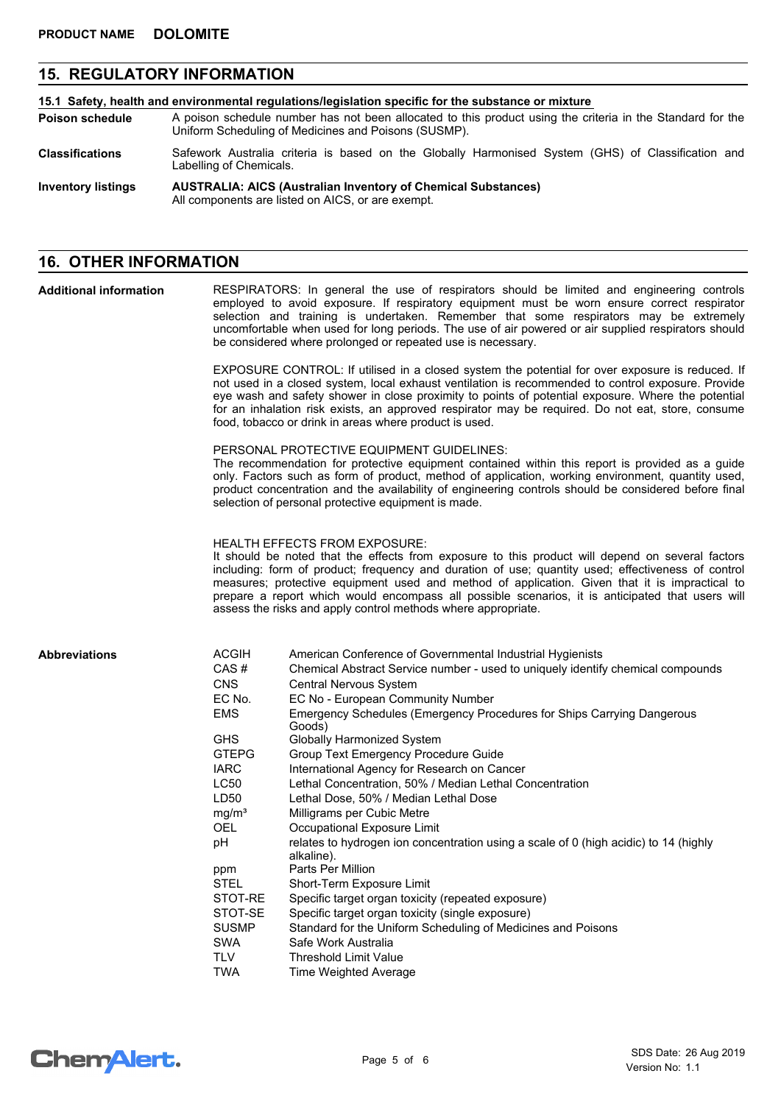# **15. REGULATORY INFORMATION**

| 15.1 Safety, health and environmental regulations/legislation specific for the substance or mixture |                                                                                                                                                                    |  |
|-----------------------------------------------------------------------------------------------------|--------------------------------------------------------------------------------------------------------------------------------------------------------------------|--|
| <b>Poison schedule</b>                                                                              | A poison schedule number has not been allocated to this product using the criteria in the Standard for the<br>Uniform Scheduling of Medicines and Poisons (SUSMP). |  |
| <b>Classifications</b>                                                                              | Safework Australia criteria is based on the Globally Harmonised System (GHS) of Classification and<br>Labelling of Chemicals.                                      |  |
| <b>Inventory listings</b>                                                                           | <b>AUSTRALIA: AICS (Australian Inventory of Chemical Substances)</b><br>All components are listed on AICS, or are exempt.                                          |  |

## **16. OTHER INFORMATION**

RESPIRATORS: In general the use of respirators should be limited and engineering controls employed to avoid exposure. If respiratory equipment must be worn ensure correct respirator selection and training is undertaken. Remember that some respirators may be extremely uncomfortable when used for long periods. The use of air powered or air supplied respirators should be considered where prolonged or repeated use is necessary. **Additional information**

> EXPOSURE CONTROL: If utilised in a closed system the potential for over exposure is reduced. If not used in a closed system, local exhaust ventilation is recommended to control exposure. Provide eye wash and safety shower in close proximity to points of potential exposure. Where the potential for an inhalation risk exists, an approved respirator may be required. Do not eat, store, consume food, tobacco or drink in areas where product is used.

PERSONAL PROTECTIVE EQUIPMENT GUIDELINES:

The recommendation for protective equipment contained within this report is provided as a guide only. Factors such as form of product, method of application, working environment, quantity used, product concentration and the availability of engineering controls should be considered before final selection of personal protective equipment is made.

HEALTH EFFECTS FROM EXPOSURE:

It should be noted that the effects from exposure to this product will depend on several factors including: form of product; frequency and duration of use; quantity used; effectiveness of control measures; protective equipment used and method of application. Given that it is impractical to prepare a report which would encompass all possible scenarios, it is anticipated that users will assess the risks and apply control methods where appropriate.

#### **Abbreviations**

| <b>ACGIH</b>      | American Conference of Governmental Industrial Hygienists                            |
|-------------------|--------------------------------------------------------------------------------------|
| CAS#              | Chemical Abstract Service number - used to uniquely identify chemical compounds      |
| <b>CNS</b>        | <b>Central Nervous System</b>                                                        |
| EC No.            | EC No - European Community Number                                                    |
| <b>EMS</b>        | Emergency Schedules (Emergency Procedures for Ships Carrying Dangerous               |
|                   | Goods)                                                                               |
| <b>GHS</b>        | Globally Harmonized System                                                           |
| <b>GTEPG</b>      | Group Text Emergency Procedure Guide                                                 |
| <b>IARC</b>       | International Agency for Research on Cancer                                          |
| <b>LC50</b>       | Lethal Concentration, 50% / Median Lethal Concentration                              |
| LD50              | Lethal Dose, 50% / Median Lethal Dose                                                |
| mg/m <sup>3</sup> | Milligrams per Cubic Metre                                                           |
| OEL.              | Occupational Exposure Limit                                                          |
| рH                | relates to hydrogen ion concentration using a scale of 0 (high acidic) to 14 (highly |
|                   | alkaline).                                                                           |
| ppm               | Parts Per Million                                                                    |
| STEL              | Short-Term Exposure Limit                                                            |
| STOT-RE           | Specific target organ toxicity (repeated exposure)                                   |
| STOT-SE           | Specific target organ toxicity (single exposure)                                     |
| <b>SUSMP</b>      | Standard for the Uniform Scheduling of Medicines and Poisons                         |
| <b>SWA</b>        | Safe Work Australia                                                                  |
| <b>TLV</b>        | <b>Threshold Limit Value</b>                                                         |
| TWA               | Time Weighted Average                                                                |